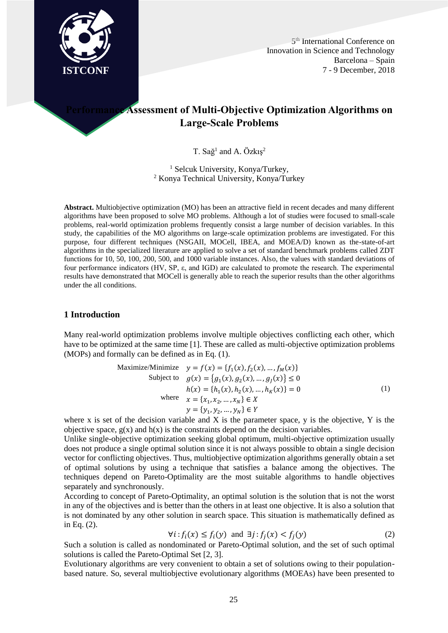

# **Assessment of Multi-Objective Optimization Algorithms on Large-Scale Problems**

T. Sağ<sup>1</sup> and A. Özkış<sup>2</sup>

<sup>1</sup> Selcuk University, Konya/Turkey, <sup>2</sup> Konya Technical University, Konya/Turkey

**Abstract.** Multiobjective optimization (MO) has been an attractive field in recent decades and many different algorithms have been proposed to solve MO problems. Although a lot of studies were focused to small-scale problems, real-world optimization problems frequently consist a large number of decision variables. In this study, the capabilities of the MO algorithms on large-scale optimization problems are investigated. For this purpose, four different techniques (NSGAII, MOCell, IBEA, and MOEA/D) known as the-state-of-art algorithms in the specialized literature are applied to solve a set of standard benchmark problems called ZDT functions for 10, 50, 100, 200, 500, and 1000 variable instances. Also, the values with standard deviations of four performance indicators (HV, SP, ε, and IGD) are calculated to promote the research. The experimental results have demonstrated that MOCell is generally able to reach the superior results than the other algorithms under the all conditions.

### **1 Introduction**

Many real-world optimization problems involve multiple objectives conflicting each other, which have to be optimized at the same time [1]. These are called as multi-objective optimization problems (MOPs) and formally can be defined as in Eq. (1).

Maximize/Minimize 
$$
y = f(x) = \{f_1(x), f_2(x), ..., f_M(x)\}
$$
  
\nSubject to  $g(x) = \{g_1(x), g_2(x), ..., g_J(x)\} \le 0$   
\n $h(x) = \{h_1(x), h_2(x), ..., h_K(x)\} = 0$   
\nwhere  $x = \{x_1, x_2, ..., x_N\} \in X$   
\n $y = \{y_1, y_2, ..., y_N\} \in Y$  (1)

where x is set of the decision variable and X is the parameter space,  $\gamma$  is the objective, Y is the objective space,  $g(x)$  and  $h(x)$  is the constraints depend on the decision variables.

Unlike single-objective optimization seeking global optimum, multi-objective optimization usually does not produce a single optimal solution since it is not always possible to obtain a single decision vector for conflicting objectives. Thus, multiobjective optimization algorithms generally obtain a set of optimal solutions by using a technique that satisfies a balance among the objectives. The techniques depend on Pareto-Optimality are the most suitable algorithms to handle objectives separately and synchronously.

According to concept of Pareto-Optimality, an optimal solution is the solution that is not the worst in any of the objectives and is better than the others in at least one objective. It is also a solution that is not dominated by any other solution in search space. This situation is mathematically defined as in Eq. (2).

$$
\forall i: f_i(x) \le f_i(y) \text{ and } \exists j: f_j(x) < f_j(y) \tag{2}
$$

Such a solution is called as nondominated or Pareto-Optimal solution, and the set of such optimal solutions is called the Pareto-Optimal Set [2, 3].

Evolutionary algorithms are very convenient to obtain a set of solutions owing to their populationbased nature. So, several multiobjective evolutionary algorithms (MOEAs) have been presented to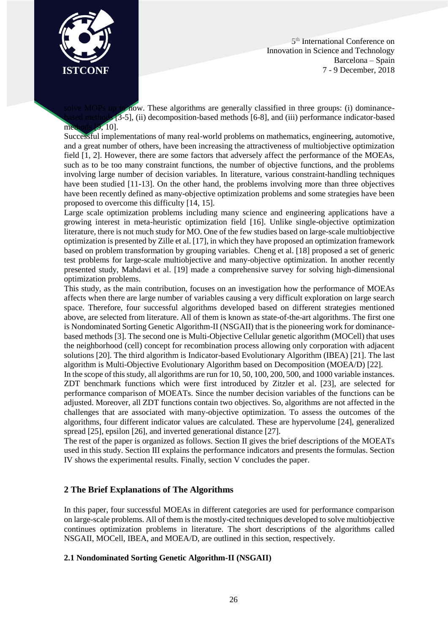

now. These algorithms are generally classified in three groups: (i) dominancebased methods [3-5], (ii) decomposition-based methods [6-8], and (iii) performance indicator-based methods [9, 10].

Successful implementations of many real-world problems on mathematics, engineering, automotive, and a great number of others, have been increasing the attractiveness of multiobjective optimization field [1, 2]. However, there are some factors that adversely affect the performance of the MOEAs, such as to be too many constraint functions, the number of objective functions, and the problems involving large number of decision variables. In literature, various constraint-handling techniques have been studied [11-13]. On the other hand, the problems involving more than three objectives have been recently defined as many-objective optimization problems and some strategies have been proposed to overcome this difficulty [14, 15].

Large scale optimization problems including many science and engineering applications have a growing interest in meta-heuristic optimization field [16]. Unlike single-objective optimization literature, there is not much study for MO. One of the few studies based on large-scale multiobjective optimization is presented by Zille et al. [17], in which they have proposed an optimization framework based on problem transformation by grouping variables. Cheng et al. [18] proposed a set of generic test problems for large-scale multiobjective and many-objective optimization. In another recently presented study, Mahdavi et al. [19] made a comprehensive survey for solving high-dimensional optimization problems.

This study, as the main contribution, focuses on an investigation how the performance of MOEAs affects when there are large number of variables causing a very difficult exploration on large search space. Therefore, four successful algorithms developed based on different strategies mentioned above, are selected from literature. All of them is known as state-of-the-art algorithms. The first one is Nondominated Sorting Genetic Algorithm-II (NSGAII) that is the pioneering work for dominancebased methods [3]. The second one is Multi-Objective Cellular genetic algorithm (MOCell) that uses the neighborhood (cell) concept for recombination process allowing only corporation with adjacent solutions [20]. The third algorithm is Indicator-based Evolutionary Algorithm (IBEA) [21]. The last algorithm is Multi-Objective Evolutionary Algorithm based on Decomposition (MOEA/D) [22].

In the scope of this study, all algorithms are run for 10, 50, 100, 200, 500, and 1000 variable instances. ZDT benchmark functions which were first introduced by Zitzler et al. [23], are selected for performance comparison of MOEATs. Since the number decision variables of the functions can be adjusted. Moreover, all ZDT functions contain two objectives. So, algorithms are not affected in the challenges that are associated with many-objective optimization. To assess the outcomes of the algorithms, four different indicator values are calculated. These are hypervolume [24], generalized spread [25], epsilon [26], and inverted generational distance [27].

The rest of the paper is organized as follows. Section II gives the brief descriptions of the MOEATs used in this study. Section III explains the performance indicators and presents the formulas. Section IV shows the experimental results. Finally, section V concludes the paper.

# **2 The Brief Explanations of The Algorithms**

In this paper, four successful MOEAs in different categories are used for performance comparison on large-scale problems. All of them is the mostly-cited techniques developed to solve multiobjective continues optimization problems in literature. The short descriptions of the algorithms called NSGAII, MOCell, IBEA, and MOEA/D, are outlined in this section, respectively.

# **2.1 Nondominated Sorting Genetic Algorithm-II (NSGAII)**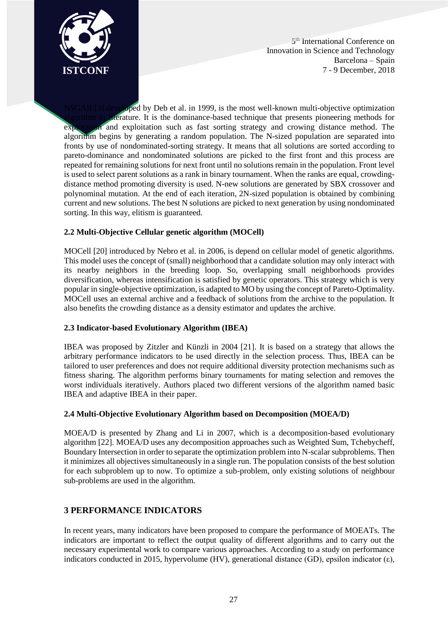

ped by Deb et al. in 1999, is the most well-known multi-objective optimization derature. It is the dominance-based technique that presents pioneering methods for exploration and exploitation such as fast sorting strategy and crowing distance method. The algorithm begins by generating a random population. The N-sized population are separated into fronts by use of nondominated-sorting strategy. It means that all solutions are sorted according to pareto-dominance and nondominated solutions are picked to the first front and this process are repeated for remaining solutions for next front until no solutions remain in the population. Front level is used to select parent solutions as a rank in binary tournament. When the ranks are equal, crowdingdistance method promoting diversity is used. N-new solutions are generated by SBX crossover and polynominal mutation. At the end of each iteration, 2N-sized population is obtained by combining current and new solutions. The best N solutions are picked to next generation by using nondominated sorting. In this way, elitism is guaranteed.

# **2.2 Multi-Objective Cellular genetic algorithm (MOCell)**

MOCell [20] introduced by Nebro et al. in 2006, is depend on cellular model of genetic algorithms. This model uses the concept of (small) neighborhood that a candidate solution may only interact with its nearby neighbors in the breeding loop. So, overlapping small neighborhoods provides diversification, whereas intensification is satisfied by genetic operators. This strategy which is very popular in single-objective optimization, is adapted to MO by using the concept of Pareto-Optimality. MOCell uses an external archive and a feedback of solutions from the archive to the population. It also benefits the crowding distance as a density estimator and updates the archive.

# **2.3 Indicator-based Evolutionary Algorithm (IBEA)**

IBEA was proposed by Zitzler and Künzli in 2004 [21]. It is based on a strategy that allows the arbitrary performance indicators to be used directly in the selection process. Thus, IBEA can be tailored to user preferences and does not require additional diversity protection mechanisms such as fitness sharing. The algorithm performs binary tournaments for mating selection and removes the worst individuals iteratively. Authors placed two different versions of the algorithm named basic IBEA and adaptive IBEA in their paper.

# **2.4 Multi-Objective Evolutionary Algorithm based on Decomposition (MOEA/D)**

MOEA/D is presented by Zhang and Li in 2007, which is a decomposition-based evolutionary algorithm [22]. MOEA/D uses any decomposition approaches such as Weighted Sum, Tchebycheff, Boundary Intersection in order to separate the optimization problem into N-scalar subproblems. Then it minimizes all objectives simultaneously in a single run. The population consists of the best solution for each subproblem up to now. To optimize a sub-problem, only existing solutions of neighbour sub-problems are used in the algorithm.

# **3 PERFORMANCE INDICATORS**

In recent years, many indicators have been proposed to compare the performance of MOEATs. The indicators are important to reflect the output quality of different algorithms and to carry out the necessary experimental work to compare various approaches. According to a study on performance indicators conducted in 2015, hypervolume (HV), generational distance (GD), epsilon indicator (ε),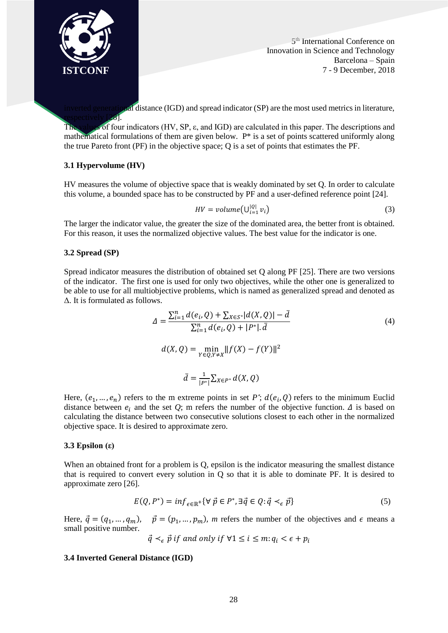

 $a\dot{a}$  distance (IGD) and spread indicator (SP) are the most used metrics in literature,

respectively 28. The values of four indicators (HV, SP, ε, and IGD) are calculated in this paper. The descriptions and mathematical formulations of them are given below. P\* is a set of points scattered uniformly along the true Pareto front (PF) in the objective space; Q is a set of points that estimates the PF.

# **3.1 Hypervolume (HV)**

HV measures the volume of objective space that is weakly dominated by set Q. In order to calculate this volume, a bounded space has to be constructed by PF and a user-defined reference point [24].

$$
HV = volume\left(\bigcup_{i=1}^{|Q|} v_i\right) \tag{3}
$$

The larger the indicator value, the greater the size of the dominated area, the better front is obtained. For this reason, it uses the normalized objective values. The best value for the indicator is one.

# **3.2 Spread (SP)**

Spread indicator measures the distribution of obtained set Q along PF [25]. There are two versions of the indicator. The first one is used for only two objectives, while the other one is generalized to be able to use for all multiobjective problems, which is named as generalized spread and denoted as Δ. It is formulated as follows.

$$
\Delta = \frac{\sum_{i=1}^{n} d(e_i, Q) + \sum_{X \in S^*} |d(X, Q)| - \bar{d}}{\sum_{i=1}^{n} d(e_i, Q) + |P^*| \cdot \bar{d}}
$$
\n
$$
d(X, Q) = \min_{Y \in Q, Y \neq X} ||f(X) - f(Y)||^2
$$
\n
$$
\bar{d} = \frac{1}{|P^*|} \sum_{X \in P^*} d(X, Q)
$$
\n(4)

Here,  $(e_1, ..., e_n)$  refers to the m extreme points in set  $P^*$ ;  $d(e_i, Q)$  refers to the minimum Euclid distance between  $e_i$  and the set  $Q$ ; m refers the number of the objective function.  $\Delta$  is based on calculating the distance between two consecutive solutions closest to each other in the normalized objective space. It is desired to approximate zero.

# **3.3 Epsilon (ε)**

When an obtained front for a problem is Q, epsilon is the indicator measuring the smallest distance that is required to convert every solution in Q so that it is able to dominate PF. It is desired to approximate zero [26].

$$
E(Q, P^*) = \inf_{\epsilon \in \mathbb{R}^+} \{ \forall \ \vec{p} \in P^*, \exists \vec{q} \in Q : \vec{q} \prec_{\epsilon} \vec{p} \}
$$
(5)

Here,  $\vec{q} = (q_1, ..., q_m)$ ,  $\vec{p} = (p_1, ..., p_m)$ , *m* refers the number of the objectives and  $\epsilon$  means a small positive number.

$$
\vec{q} \leq_{\epsilon} \vec{p}
$$
 if and only if  $\forall 1 \leq i \leq m$ :  $q_i < \epsilon + p_i$ 

# **3.4 Inverted General Distance (IGD)**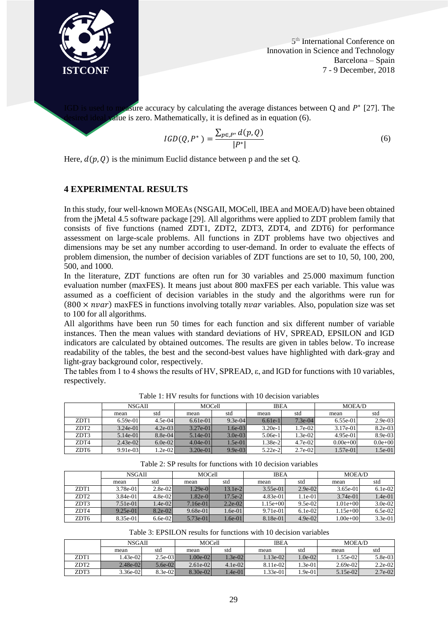

IGD is used to measure accuracy by calculating the average distances between Q and  $P^*$  [27]. The alue is zero. Mathematically, it is defined as in equation  $(6)$ .

$$
IGD(Q, P^*) = \frac{\sum_{p \in P^*} d(p, Q)}{|P^*|}
$$
\n(6)

Here,  $d(p, Q)$  is the minimum Euclid distance between p and the set Q.

# **4 EXPERIMENTAL RESULTS**

In this study, four well-known MOEAs (NSGAII, MOCell, IBEA and MOEA/D) have been obtained from the jMetal 4.5 software package [29]. All algorithms were applied to ZDT problem family that consists of five functions (named ZDT1, ZDT2, ZDT3, ZDT4, and ZDT6) for performance assessment on large-scale problems. All functions in ZDT problems have two objectives and dimensions may be set any number according to user-demand. In order to evaluate the effects of problem dimension, the number of decision variables of ZDT functions are set to 10, 50, 100, 200, 500, and 1000.

In the literature, ZDT functions are often run for 30 variables and 25.000 maximum function evaluation number (maxFES). It means just about 800 maxFES per each variable. This value was assumed as a coefficient of decision variables in the study and the algorithms were run for  $(800 \times n \nu a r)$  maxFES in functions involving totally  $n \nu a r$  variables. Also, population size was set to 100 for all algorithms.

All algorithms have been run 50 times for each function and six different number of variable instances. Then the mean values with standard deviations of HV, SPREAD, EPSILON and IGD indicators are calculated by obtained outcomes. The results are given in tables below. To increase readability of the tables, the best and the second-best values have highlighted with dark-gray and light-gray background color, respectively.

The tables from 1 to 4 shows the results of HV, SPREAD, ε, and IGD for functions with 10 variables, respectively.

|                  | <b>NSGAII</b> |            |            | <b>MOCell</b> |           | <b>IBEA</b> |               | <b>MOEA/D</b> |  |
|------------------|---------------|------------|------------|---------------|-----------|-------------|---------------|---------------|--|
|                  | mean          | std        | mean       | std           | mean      | std         | mean          | std           |  |
| ZDT1             | $6.59e-01$    | $4.5e-04$  | $6.61e-01$ | $9.3e-04$     | $6.61e-1$ | $7.3e-04$   | $6.55e-01$    | $2.9e-03$     |  |
| ZDT <sub>2</sub> | $3.24e-01$    | $4.2e-0.3$ | $3.27e-01$ | $1.6e-03$     | $3.20e-1$ | $1.7e-02$   | $3.17e-01$    | $8.2e-0.3$    |  |
| ZDT3             | $5.14e-01$    | $8.8e-04$  | $5.14e-01$ | $3.0e-03$     | $5.06e-1$ | $1.3e-02$   | $4.95e-01$    | $8.9e-0.3$    |  |
| ZDT4             | $2.43e-02$    | $6.0e-02$  | $4.04e-01$ | $1.5e-01$     | 1.38e-2   | $4.7e-02$   | $0.00e + 0.0$ | $0.0e+0.0$    |  |
| ZDT6             | $9.91e-03$    | $1.2e-02$  | $3.20e-01$ | $9.9e-03$     | $5.22e-2$ | $2.7e-0.2$  | $1.57e-01$    | 1.5e-01       |  |

Table 1: HV results for functions with 10 decision variables

|                  | <b>NSGAII</b> |           | <b>MOCell</b> |           | <b>IBEA</b> |           | <b>MOEA/D</b> |            |
|------------------|---------------|-----------|---------------|-----------|-------------|-----------|---------------|------------|
|                  | mean          | std       | mean          | std       | mean        | std       | mean          | std        |
| ZDT1             | 3.78e-01      | $2.8e-02$ | $1.29e-0$     | $13.1e-2$ | $3.55e-01$  | $2.9e-02$ | $3.65e-01$    | $6.1e-02$  |
| ZDT <sub>2</sub> | 3.84e-01      | $4.8e-02$ | $1.82e-0$     | 17.5e-2   | 4.83e-01    | $1.1e-01$ | $3.74e-01$    | $1.4e-01$  |
| ZDT3             | $7.51e-01$    | $1.4e-02$ | $7.16e-01$    | $2.2e-02$ | $1.15e+00$  | $9.5e-02$ | $1.01e+00$    | $3.0e-0.2$ |
| ZDT4             | $9.25e-01$    | $8.2e-02$ | $9.68e-01$    | $1.6e-01$ | $9.71e-01$  | $6.1e-02$ | $1.15e+00$    | 6.5e-02    |
| ZDT6             | 8.35e-01      | $6.6e-02$ | $5.73e-01$    | $1.6e-01$ | 8.18e-01    | $4.9e-02$ | $1.00e + 00$  | 3.3e-01    |

Table 2: SP results for functions with 10 decision variables

Table 3: EPSILON results for functions with 10 decision variables

|      | NSGAII     |            | <b>MOCell</b> |           | <b>IBEA</b> |          | <b>MOEA/D</b> |           |
|------|------------|------------|---------------|-----------|-------------|----------|---------------|-----------|
|      | mean       | std        | mean          | std       | mean        | std      | mean          | std       |
| ZDT1 | $.43e-02$  | $2.5e-0.3$ | $.00e-02$     | $1.3e-02$ | $1.13e-02$  | $.0e-02$ | 1.55e-02      | 5.8e-03   |
| ZDT2 | $2.48e-02$ | $5.6e-02$  | $2.61e-02$    | $4.1e-02$ | 8.11e-02    | $.3e-01$ | $2.69e-02$    | $2.2e-02$ |
| ZDT3 | $3.36e-02$ | $8.3e-02$  | $8.30e-02$    | $.4e-01$  | .33e-01     | 1.9e-01  | $5.15e-02$    | $2.7e-02$ |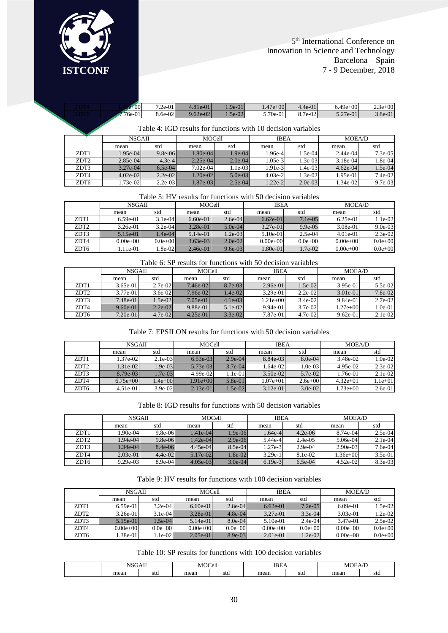

| $+00$      | $\sim$ $\sim$<br><sup>7</sup> .2e-01 | $4.81e-01$ | $\sim$<br>$\Omega$ 1<br>$.9e-01$    | $\overline{1}$<br>47e+00              | $4.4e-01$ | $6.49e + 00$           | $\angle .3e+00$ |
|------------|--------------------------------------|------------|-------------------------------------|---------------------------------------|-----------|------------------------|-----------------|
| $7.76e-01$ | $8.6e-02$                            | $9.62e-02$ | $\Omega$<br>$-e$ -U $\sim$<br>1.507 | 5.70e<br>$^{\sim}$<br>$^{\circ}$ -U1. | $8.7e-02$ | $\sim$ 0.7<br>5.27e-01 | 3.8e-01         |
|            |                                      |            |                                     |                                       |           |                        |                 |

#### Table 4: IGD results for functions with 10 decision variables

|                  | <b>NSGAII</b> |           |            | <b>MOCell</b> |           | <b>IBEA</b> |            | <b>MOEA/D</b> |  |
|------------------|---------------|-----------|------------|---------------|-----------|-------------|------------|---------------|--|
|                  | mean          | std       | mean       | std           | mean      | std         | mean       | std           |  |
| ZDT1             | 1.95e-04      | $9.8e-06$ | $1.80e-04$ | $1.9e-04$     | $1.96e-4$ | $1.5e-04$   | $2.44e-04$ | $7.3e-0.5$    |  |
| ZDT <sub>2</sub> | $2.85e-04$    | $4.3e-4$  | $2.25e-04$ | $2.0e-04$     | $1.05e-3$ | $1.3e-03$   | $3.18e-04$ | 1.8e-04       |  |
| ZDT3             | $3.27e-04$    | $6.5e-04$ | $7.02e-04$ | $1.1e-03$     | $1.91e-3$ | $1.4e-03$   | $4.62e-04$ | 1.5e-04       |  |
| ZDT4             | $4.02e-02$    | $2.2e-02$ | $1.20e-02$ | $5.0e-03$     | $4.03e-2$ | $1.3e-02$   | $1.95e-01$ | $7.4e-02$     |  |
| ZDT6             | $.73e-02$     | $2.2e-03$ | 1.87e-03   | $2.5e-04$     | $1.22e-2$ | $2.0e-03$   | 1.34e-02   | $9.7e-03$     |  |

### Table 5: HV results for functions with 50 decision variables

|                  | <b>NSGAII</b> |             |            | <b>MOCell</b> |              | <b>IBEA</b>  |              | <b>MOEA/D</b> |  |
|------------------|---------------|-------------|------------|---------------|--------------|--------------|--------------|---------------|--|
|                  | mean          | std         | mean       | std           | mean         | std          | mean         | std           |  |
| ZDT1             | $6.59e-01$    | $3.1e-04$   | $6.60e-01$ | $2.6e-04$     | $6.62e-01$   | $7.1e-0.5$   | $6.25e-01$   | 1.1e-02       |  |
| ZDT <sub>2</sub> | $3.26e-01$    | $3.2e-04$   | $3.28e-01$ | $5.0e-04$     | $3.27e-01$   | $9.9e - 0.5$ | $3.08e-01$   | $9.0e-03$     |  |
| ZDT3             | $5.15e-01$    | 1.4e-04     | $5.14e-01$ | $1.2e-03$     | $5.10e-01$   | $2.5e-04$    | $4.01e-01$   | $2.3e-02$     |  |
| ZDT4             | $0.00e+0.0$   | $0.0e + 00$ | $3.63e-03$ | $2.0e-02$     | $0.00e + 00$ | $0.0e + 00$  | $0.00e + 00$ | $0.0e + 00$   |  |
| ZDT6             | 1.11e-01      | 1.8e-02l    | $2.46e-01$ | $9.6e-03$     | $1.80e-01$   | $1.7e-02$    | $0.00e + 00$ | $0.0e + 00$   |  |

# Table 6: SP results for functions with 50 decision variables

|                  | <b>NSGAII</b> |            |            | <b>MOCell</b> |            | <b>IBEA</b> |            | <b>MOEA/D</b> |  |
|------------------|---------------|------------|------------|---------------|------------|-------------|------------|---------------|--|
|                  | mean          | std        | mean       | std           | mean       | std         | mean       | std           |  |
| ZDT <sub>1</sub> | $3.65e-01$    | $2.7e-0.2$ | $7.46e-02$ | 8.7e-03       | $2.96e-01$ | $1.5e-02$   | $3.95e-01$ | $5.5e-02$     |  |
| ZDT <sub>2</sub> | $3.77e-01$    | $3.6e-02$  | $7.96e-02$ | $1.4e-02$     | $3.29e-01$ | $2.2e-02$   | $3.01e-01$ | $7.8e-02$     |  |
| ZDT3             | $7.48e-01$    | $1.5e-02$  | $7.05e-01$ | $4.1e-03$     | $1.21e+00$ | $3.4e-02$   | $9.84e-01$ | $2.7e-0.2$    |  |
| ZDT4             | $9.60e-01$    | $2.2e-02$  | $9.88e-01$ | $5.1e-02$     | $9.94e-01$ | $3.7e-02$   | $1.27e+00$ | $1.0e-01$     |  |
| ZDT6             | $7.20e-01$    | $4.7e-02$  | $4.25e-01$ | $3.3e-02$     | $7.87e-01$ | $4.7e-02$   | $9.62e-01$ | $2.1e-0.2$    |  |

Table 7: EPSILON results for functions with 50 decision variables

|                  | <b>NSGAII</b> |           |            | <b>MOCell</b> |              | <b>IBEA</b> |            | <b>MOEA/D</b> |  |
|------------------|---------------|-----------|------------|---------------|--------------|-------------|------------|---------------|--|
|                  | mean          | std       | mean       | std           | mean         | std         | mean       | std           |  |
| ZDT <sub>1</sub> | 1.37e-02      | $2.1e-03$ | $6.53e-03$ | $2.9e-04$     | 8.84e-03     | $8.0e-04$   | $3.48e-02$ | $1.0e-02$     |  |
| ZDT <sub>2</sub> | $1.31e-02$    | $1.9e-03$ | $5.73e-03$ | $3.7e-04$     | $1.64e-02$   | $1.0e-0.3$  | $4.95e-02$ | $2.3e-0.2$    |  |
| ZDT3             | $8.79e-03$    | $1.7e-03$ | $4.99e-02$ | $1.1e-01$     | $3.50e-02$   | $5.7e-02$   | 1.76e-01   | $2.1e-02$     |  |
| ZDT4             | $6.75e+00$    | $1.4e+00$ | $1.91e+00$ | $5.8e-01$     | $1.07e + 01$ | $2.6e+00$   | $4.32e+01$ | $1.1e+01$     |  |
| ZDT6             | $4.51e-01$    | $3.9e-02$ | $2.13e-01$ | $1.5e-02$     | $3.12e-01$   | $3.0e-02$   | $1.73e+00$ | $2.6e-01$     |  |

Table 8: IGD results for functions with 50 decision variables

|                  | <b>NSGAIL</b> |             |            | <b>MOCell</b> |           | <b>IBEA</b> |            | MOEA/D    |
|------------------|---------------|-------------|------------|---------------|-----------|-------------|------------|-----------|
|                  | mean          | std         | mean       | std           | mean      | std         | mean       | std       |
| ZDT1             | $1.90e-04$    | $9.8e-06$   | $1.41e-04$ | $1.9e-06$     | $1.64e-4$ | $4.2e-06$   | 8.74e-04   | $2.5e-04$ |
| ZDT <sub>2</sub> | $1.94e-04$    | $9.8e-06$   | $1.42e-04$ | $2.9e-06$     | 5.44e-4   | $2.4e-0.5$  | 5.06e-04   | $2.1e-04$ |
| ZDT3             | $1.34e-04$    | $8.4e-06$   | $4.45e-04$ | $8.5e-04$     | $1.27e-3$ | $2.9e-04$   | $2.90e-03$ | $7.6e-04$ |
| ZDT4             | $2.03e-01$    | $4.4e-02$   | $5.17e-02$ | $1.8e-02$     | $3.29e-1$ | 8.1e-02     | $1.36e+00$ | $3.5e-01$ |
| ZDT6             | $9.29e-03$    | $8.9e - 04$ | $4.05e-03$ | $3.0e-04$     | $6.19e-3$ | $6.5e-04$   | $4.52e-02$ | $8.3e-03$ |

#### Table 9: HV results for functions with 100 decision variables

|                  | <b>NSGAII</b> |             | <b>MOCell</b> |            | <b>IBEA</b>   |            | <b>MOEA/D</b> |             |
|------------------|---------------|-------------|---------------|------------|---------------|------------|---------------|-------------|
|                  | mean          | std         | mean          | std        | mean          | std        | mean          | std         |
| ZDT <sub>1</sub> | $6.59e-01$    | $3.2e-04$   | $6.60e-01$    | $2.8e-04$  | $6.62e-01$    | $7.2e-0.5$ | $6.09e-01$    | 1.5e-02     |
| ZDT <sub>2</sub> | $3.26e-01$    | $3.1e-04$   | $3.28e-01$    | $4.8e-04$  | $3.27e-01$    | $3.3e-04$  | $3.03e-01$    | $1.2e-02$   |
| ZDT3             | $5.15e-01$    | $1.5e-04$   | $5.14e-01$    | $8.0e-04$  | $5.10e-01$    | $2.4e-04$  | 3.47e-01      | $2.5e-02$   |
| ZDT4             | $0.00e + 00$  | $0.0e + 00$ | $0.00e + 00$  | $0.0e+0.0$ | $0.00e + 0.0$ | $0.0e+0.0$ | $0.00e + 00$  | $0.0e+0.0$  |
| ZDT6             | $1.38e-01$    | $1.1e-02$   | $2.05e-01$    | $8.9e-03$  | $2.01e-01$    | $1.2e-02$  | $0.00e + 00$  | $0.0e + 00$ |

Table 10: SP results for functions with 100 decision variables

| <b>TT</b><br>$\overline{1}$<br>UAII<br>. . |     | $\Lambda$ | $\angle$ ell<br>$\sqrt{2}$ |      | <b>IBEA</b> |      | 40F<br>м |  |
|--------------------------------------------|-----|-----------|----------------------------|------|-------------|------|----------|--|
| mean                                       | std | mean      | std                        | mean | std         | mean | std      |  |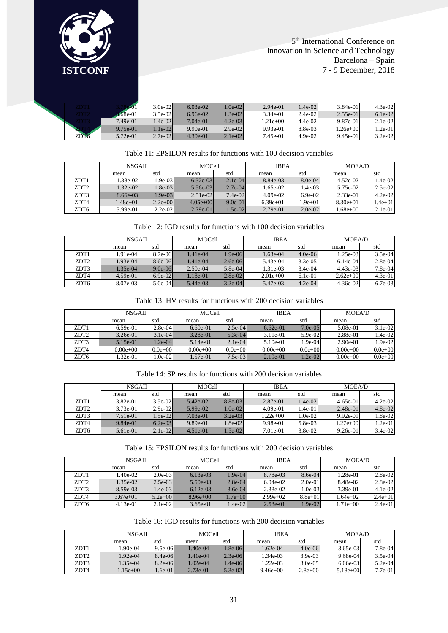**ISTCONF**

5 th International Conference on Innovation in Science and Technology Barcelona – Spain 7 - 9 December, 2018

|      | -01        | $3.0e-02$  | $6.03e-02$ | $1.0e-02$  | $2.94e-01$ | $-4e-02$  | 3.84e-01     | $4.3e-02$ |
|------|------------|------------|------------|------------|------------|-----------|--------------|-----------|
|      | $.68e-01$  | $3.5e-02$  | $6.96e-02$ | $3e-02$    | $3.34e-01$ | $2.4e-02$ | $2.55e-01$   | $6.1e-02$ |
|      | $7.49e-01$ | 1.4e-021   | $7.04e-01$ | $4.2e-0.3$ | $1.21e+00$ | $4.4e-02$ | 9.87e-01     | $2.1e-02$ |
|      | $9.75e-01$ | $.1e-02$   | $9.90e-01$ | $2.9e-02$  | $9.93e-01$ | 8.8e-03   | $1.26e + 00$ | $1.2e-01$ |
| ZDT6 | $5.72e-01$ | $2.7e-0.2$ | $4.30e-01$ | $2.1e-02$  | 7.45e-011  | $4.9e-02$ | 9.45e-01     | $3.2e-02$ |

#### Table 11: EPSILON results for functions with 100 decision variables

|                  | <b>NSGAII</b> |            | <b>MOCell</b> |           | <b>IBEA</b> |             | <b>MOEA/D</b> |           |
|------------------|---------------|------------|---------------|-----------|-------------|-------------|---------------|-----------|
|                  | mean          | std        | mean          | std       | mean        | std         | mean          | std       |
| ZDT1             | 1.38e-02      | $1.9e-03$  | $6.32e-03$    | $2.1e-04$ | 8.84e-03    | $8.0e-04$   | $4.52e-02$    | 1.4e-02   |
| ZDT <sub>2</sub> | $1.32e-02$    | $1.8e-0.3$ | 5.56e-03      | $2.7e-04$ | $1.65e-02$  | $1.4e-0.3$  | 5.75e-02      | $2.5e-02$ |
| ZDT3             | $8.66e-03$    | $1.9e-0.3$ | $2.51e-02$    | $7.4e-02$ | $4.09e-02$  | $6.9e-02$   | $2.33e-01$    | $4.2e-02$ |
| ZDT4             | $1.48e + 01$  | $2.2e+00$  | $4.05e+00$    | $9.0e-01$ | $6.39e+01$  | $1.9e + 01$ | $8.30e+01$    | l.4e+01   |
| ZDT6             | $3.99e-01$    | $2.2e-02$  | $2.79e-01$    | $1.5e-02$ | $2.79e-01$  | $2.0e-02$   | $1.68e + 00$  | $2.1e-01$ |

# Table 12: IGD results for functions with 100 decision variables

|                  | <b>NSGAII</b> |             | <b>MOCell</b> |           | <b>IBEA</b> |            | <b>MOEA/D</b> |           |
|------------------|---------------|-------------|---------------|-----------|-------------|------------|---------------|-----------|
|                  | mean          | std         | mean          | std       | mean        | std        | mean          | std       |
| ZDT <sub>1</sub> | 1.91e-04      | 8.7e-06     | $1.41e-04$    | $1.9e-06$ | $1.63e-04$  | $4.0e-06$  | $1.25e-03$    | $3.5e-04$ |
| ZDT <sub>2</sub> | $1.93e-04$    | $8.6e - 06$ | $1.41e-04$    | $2.6e-06$ | $5.43e-04$  | $3.3e-0.5$ | $6.14e-04$    | $2.8e-04$ |
| ZDT3             | $1.35e-04$    | $9.0e-06$   | $2.50e-04$    | $5.8e-04$ | $1.31e-03$  | $3.4e-04$  | $4.43e-03$    | $7.8e-04$ |
| ZDT4             | $4.59e-01$    | $6.9e-02$   | $1.18e-01$    | $2.8e-02$ | $2.01e+00$  | $6.1e-01$  | $2.62e+00$    | $4.3e-01$ |
| ZDT6             | 8.07e-03      | $5.0e-04$   | $5.44e-03$    | $3.2e-04$ | $5.47e-03$  | $4.2e-04$  | $4.36e-02$    | $6.7e-03$ |

### Table 13: HV results for functions with 200 decision variables

|                  | <b>NSGAIL</b> |             | <b>MOCell</b> |             | <b>IBEA</b> |            | <b>MOEA/D</b> |             |
|------------------|---------------|-------------|---------------|-------------|-------------|------------|---------------|-------------|
|                  | mean          | std         | mean          | std         | mean        | std        | mean          | std         |
| ZDT <sub>1</sub> | $6.59e-01$    | $2.8e-0.4$  | $6.60e-01$    | $2.5e-04$   | $6.62e-01$  | $7.0e-0.5$ | 5.08e-01      | $3.1e-02$   |
| ZDT <sub>2</sub> | $3.26e-01$    | $3.1e-04$   | $3.28e-01$    | $5.3e-04$   | $3.11e-01$  | $5.9e-02$  | 2.88e-01      | 1.4e-02     |
| ZDT3             | $5.15e-01$    | $1.2e-04$   | $5.14e-01$    | $2.1e-04$   | $5.10e-01$  | $1.9e-04$  | $2.90e-01$    | $1.9e-02$   |
| ZDT4             | $0.00e + 00$  | $0.0e + 00$ | $0.00e + 00$  | $0.0e + 00$ | $0.00e+0.0$ | $0.0e+0.0$ | $0.00e+0.0$   | $0.0e + 00$ |
| ZDT6             | 1.32e-011     | $0e-02$     | $1.57e-01$    | $7.5e-03$   | $2.19e-01$  | $1.2e-02$  | $0.00e + 00$  | $0.0e + 00$ |

|                  | <b>NSGAII</b> |           | <b>MOCell</b> |            | <b>IBEA</b> |           | <b>MOEA/D</b> |           |
|------------------|---------------|-----------|---------------|------------|-------------|-----------|---------------|-----------|
|                  | mean          | std       | mean          | std        | mean        | std       | mean          | std       |
| ZDT1             | $3.82e-01$    | $3.5e-02$ | $5.42e-02$    | $8.8e-0.3$ | $2.87e-01$  | $1.4e-02$ | $4.65e-01$    | $4.2e-02$ |
| ZDT <sub>2</sub> | $3.73e-01$    | $2.9e-02$ | $5.99e-02$    | $1.0e-02$  | $4.09e-01$  | $1.4e-01$ | $2.48e-01$    | $4.8e-02$ |
| ZDT3             | $7.51e-01$    | $1.5e-02$ | $7.03e-01$    | $3.2e-03$  | $1.22e+00$  | $1.0e-02$ | $9.92e-01$    | 1.8e-02   |
| ZDT4             | $9.84e-01$    | $6.2e-03$ | $9.89e-01$    | $1.8e-02$  | 9.98e-01    | 5.8e-03   | $1.27e+00$    | $1.2e-01$ |
| ZDT6             | $5.61e-01$    | $2.1e-02$ | $4.51e-01$    | $1.5e-02$  | 7.01e-01    | $3.8e-02$ | $9.26e-01$    | $3.4e-02$ |

Table 14: SP results for functions with 200 decision variables

Table 15: EPSILON results for functions with 200 decision variables

|                  | <b>NSGAII</b> |             | <b>MOCell</b> |           | <b>IBEA</b> |            | MOEA/D     |           |
|------------------|---------------|-------------|---------------|-----------|-------------|------------|------------|-----------|
|                  | mean          | std         | mean          | std       | mean        | std        | mean       | std       |
| ZDT <sub>1</sub> | 1.40e-02      | $2.0e-03$   | $6.13e-03$    | $1.9e-04$ | 8.78e-03    | $8.6e-04$  | 1.28e-01   | $2.8e-02$ |
| ZDT <sub>2</sub> | $1.35e-02$    | $2.5e-03$   | $5.50e-03$    | $2.8e-04$ | $6.04e-02$  | $2.0e-01$  | 8.48e-02   | $2.8e-02$ |
| ZDT3             | $8.59e-03$    | 1.4e-03l    | $6.12e-03$    | $3.6e-04$ | $2.33e-02$  | $1.0e-0.3$ | $3.39e-01$ | $4.1e-02$ |
| ZDT4             | $3.67e+01$    | $5.2e + 00$ | $8.96e+00$    | $1.7e+00$ | $2.99e+02$  | $8.8e+01$  | $1.64e+02$ | $2.4e+01$ |
| ZDT6             | $4.13e-01$    | $2.1e-02$   | $3.65e-01$    | $1.4e-02$ | $2.53e-01$  | $1.9e-02$  | $1.71e+00$ | $2.4e-01$ |

| Table 16: IGD results for functions with 200 decision variables |  |  |  |  |  |  |  |  |  |
|-----------------------------------------------------------------|--|--|--|--|--|--|--|--|--|
|-----------------------------------------------------------------|--|--|--|--|--|--|--|--|--|

|                  | <b>NSGAII</b> |             |            | <b>MOCell</b> |              | <b>IBEA</b> |            | MOEA/D    |  |
|------------------|---------------|-------------|------------|---------------|--------------|-------------|------------|-----------|--|
|                  | mean          | std         | mean       | std           | mean         | std         | mean       | std       |  |
| ZDT1             | 1.90e-04      | $9.5e-06$   | $1.40e-04$ | 1.8e-06       | $1.62e-04$   | $4.0e-06$   | 3.65e-03   | $7.8e-04$ |  |
| ZDT <sub>2</sub> | $1.92e-04$    | $8.4e-06$   | $1.41e-04$ | $2.3e-06$     | $1.34e-03$   | $3.9e-03$   | 9.68e-04   | $3.5e-04$ |  |
| ZDT3             | $1.35e-04$    | $8.2e - 06$ | $1.02e-04$ | $1.4e-06$     | $1.22e-03$   | $3.0e-0.5$  | $6.06e-03$ | $5.2e-04$ |  |
| ZDT4             | $.15e+00$     | $.6e-01$    | $2.73e-01$ | $5.3e-02$     | $9.46e + 00$ | $2.8e+00$   | $5.18e+00$ | $7.7e-01$ |  |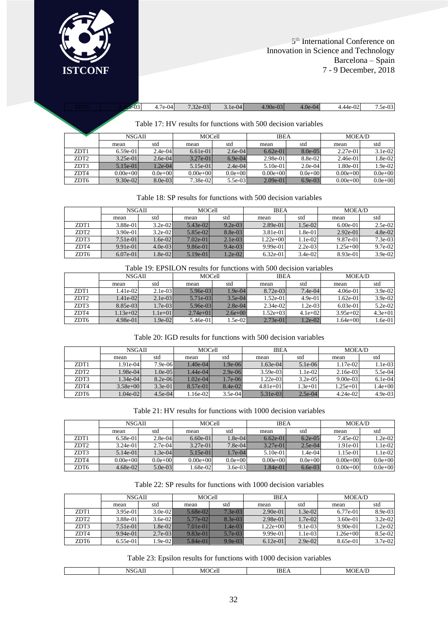

| Table T/: H v results for functions with 500 decision variables |      |               |             |               |             |              |             |              |             |
|-----------------------------------------------------------------|------|---------------|-------------|---------------|-------------|--------------|-------------|--------------|-------------|
|                                                                 |      | <b>NSGAII</b> |             | <b>MOCell</b> |             | <b>IBEA</b>  |             | MOEA/D       |             |
|                                                                 |      | mean          | std         | mean          | std         | mean         | std         | mean         | std         |
|                                                                 | ZDT1 | $6.59e-01$    | $2.4e-04$   | $6.61e-01$    | $2.6e-04$   | $6.62e-01$   | $8.0e-0.5$  | 2.27e-01     | $3.1e-02$   |
|                                                                 | ZDT2 | $3.25e-01$    | $2.6e-04$   | $3.27e-01$    | $6.9e-04$   | 2.98e-01     | 8.8e-02     | $2.46e-01$   | $1.8e-02$   |
|                                                                 | ZDT3 | $5.15e-01$    | $1.2e-04$   | $5.15e-01$    | $2.4e-04$   | $5.10e-01$   | $2.0e-04$   | 1.80e-01     | $1.9e-02$   |
|                                                                 | ZDT4 | $0.00e + 00$  | $0.0e + 00$ | $0.00e + 00$  | $0.0e + 00$ | $0.00e + 00$ | $0.0e + 00$ | $0.00e + 00$ | $0.0e + 00$ |

#### Table 17: HV results for functions with 500 decision variables

#### Table 18: SP results for functions with 500 decision variables

ZDT6 9.30e-02 8.0e-03 7.38e-02 5.5e-03 2.09e-01 6.9e-03 0.00e+00 0.0e+00

|                  | <b>NSGAII</b> |           | <b>MOCell</b> |            | <b>IBEA</b> |           | <b>MOEA/D</b> |           |
|------------------|---------------|-----------|---------------|------------|-------------|-----------|---------------|-----------|
|                  | mean          | std       | mean          | std        | mean        | std       | mean          | std       |
| ZDT1             | $3.88e-01$    | $3.2e-02$ | $5.43e-02$    | $9.2e-03$  | $2.89e-01$  | $1.5e-02$ | $6.00e-01$    | $2.5e-02$ |
| ZDT <sub>2</sub> | $3.90e-01$    | $3.2e-02$ | $5.85e-02$    | 8.8e-03    | 3.81e-01    | $1.8e-01$ | $2.92e-01$    | $4.8e-02$ |
| ZDT3             | $7.51e-01$    | $1.6e-02$ | $7.02e-01$    | $2.1e-0.3$ | $1.22e+00$  | $1.1e-02$ | 9.87e-01      | $7.3e-03$ |
| ZDT4             | $9.91e-01$    | $4.0e-03$ | $9.86e-01$    | $9.4e-03$  | $9.99e-01$  | $2.2e-03$ | $1.25e+00$    | $9.7e-02$ |
| ZDT6             | $6.07e-01$    | $1.8e-02$ | $5.19e-01$    | $1.2e-02$  | $6.32e-01$  | $3.4e-02$ | 8.93e-01      | $3.9e-02$ |

# Table 19: EPSILON results for functions with 500 decision variables

|                  | <b>NSGAII</b> |           | <b>MOCell</b> |             | <b>IBEA</b> |            | MOEA/D     |           |
|------------------|---------------|-----------|---------------|-------------|-------------|------------|------------|-----------|
|                  | mean          | std       | mean          | std         | mean        | std        | mean       | std       |
| ZDT1             | 1.41e-02      | $2.1e-03$ | $5.96e-03$    | $1.9e-04$   | $8.72e-03$  | $7.4e-04$  | $4.06e-01$ | $3.9e-02$ |
| ZDT <sub>2</sub> | $1.41e-02$    | $2.1e-03$ | $5.71e-0.3$   | $3.5e-04$   | $1.52e-01$  | $4.9e-01$  | $1.62e-01$ | $3.9e-02$ |
| ZDT3             | 8.85e-03      | $1.7e-03$ | $5.96e-03$    | $2.8e-04$   | $2.34e-02$  | $1.2e-0.3$ | $6.03e-01$ | $5.2e-02$ |
| ZDT4             | $1.13e+02$    | $.1e+01$  | $2.74e+01$    | $2.6e + 00$ | $1.52e+03$  | $4.1e+02$  | $3.95e+02$ | $4.3e+01$ |
| ZDT6             | $4.98e-01$    | 1.9e-02   | 5.46e-01      | $1.5e-02$   | $2.73e-01$  | $1.2e-02$  | $1.64e+00$ | $1.6e-01$ |

#### Table 20: IGD results for functions with 500 decision variables

|                  | <b>NSGAII</b> |             | <b>MOCell</b> |           | <b>IBEA</b> |            | <b>MOEA/D</b> |           |
|------------------|---------------|-------------|---------------|-----------|-------------|------------|---------------|-----------|
|                  | mean          | std         | mean          | std       | mean        | std        | mean          | std       |
| ZDT1             | $1.91e-04$    | $7.9e-06$   | $1.40e-04$    | $1.9e-06$ | $1.63e-04$  | $5.1e-06$  | $1.17e-02$    | $1.1e-03$ |
| ZDT <sub>2</sub> | $1.98e-04$    | $1.0e-0.5$  | $-44e-04$     | $2.9e-06$ | $3.59e-03$  | $1.1e-02$  | $2.16e-03$    | $5.5e-04$ |
| ZDT3             | 1.34e-04      | $8.2e - 06$ | $1.02e-04$    | $1.7e-06$ | $1.22e-03$  | $3.2e-0.5$ | $9.00e-03$    | $6.1e-04$ |
| ZDT4             | $3.58e+00$    | $3.3e-01$   | $8.57e-01$    | $8.4e-02$ | $4.81e+01$  | $1.3e+01$  | $1.25e + 01$  | $1.4e+00$ |
| ZDT6             | $1.04e-02$    | $4.5e-04$   | $.16e-02$     | $3.5e-04$ | $5.31e-03$  | $2.5e-04$  | $4.24e-02$    | $4.9e-03$ |

Table 21: HV results for functions with 1000 decision variables

|                  | <b>NSGAII</b> |            | <b>MOCell</b> |            | <b>IBEA</b>   |            | <b>MOEA/D</b> |             |
|------------------|---------------|------------|---------------|------------|---------------|------------|---------------|-------------|
|                  | mean          | std        | mean          | std        | mean          | std        | mean          | std         |
| ZDT1             | $6.58e-01$    | $2.8e-04$  | $6.60e-01$    | $1.8e-04$  | $6.62e-01$    | $6.2e-0.5$ | 7.45e-02      | $1.2e-02$   |
| ZDT <sub>2</sub> | $3.24e-01$    | $2.7e-04$  | $3.27e-01$    | $7.8e-04$  | $3.27e-01$    | $2.5e-04$  | $1.91e-01$    | $1.1e-02$   |
| ZDT3             | $5.14e-01$    | $1.3e-04$  | $5.15e-01$    | $1.7e-04$  | $5.10e-01$    | $1.4e-04$  | $1.15e-01$    | $1.1e-02$   |
| ZDT4             | $0.00e+0.0$   | $0.0e+0.0$ | $0.00e + 0.0$ | $0.0e+0.0$ | $0.00e + 0.0$ | $0.0e+0.0$ | $0.00e + 0.0$ | $0.0e+0.0$  |
| ZDT6             | $4.68e-02$    | $5.0e-03$  | 1.68e-02      | $3.6e-03$  | $1.84e-01$    | $6.6e-03$  | $0.00e + 00$  | $0.0e + 00$ |

| Table 22: SP results for functions with 1000 decision variables |
|-----------------------------------------------------------------|
|-----------------------------------------------------------------|

|                  | <b>NSGAII</b> |           | <b>MOCell</b> |           | <b>IBEA</b> |            | <b>MOEA/D</b> |           |
|------------------|---------------|-----------|---------------|-----------|-------------|------------|---------------|-----------|
|                  |               |           |               |           |             |            |               |           |
|                  | mean          | std       | mean          | std       | mean        | std        | mean          | std       |
| ZDT1             | $3.95e-01$    | $3.0e-02$ | $5.68e-02$    | $7.3e-03$ | $2.90e-01$  | $1.3e-02$  | 6.77e-01      | $8.9e-03$ |
| ZDT <sub>2</sub> | 3.88e-01      | $3.6e-02$ | $5.77e-02$    | $8.3e-03$ | $2.98e-01$  | $1.7e-02$  | $3.60e-01$    | $3.2e-02$ |
| ZDT3             | $7.51e-01$    | $1.8e-02$ | $7.01e-01$    | $1.4e-03$ | $1.22e+00$  | $9.1e-0.3$ | $9.90e-01$    | $1.2e-02$ |
| ZDT4             | $9.94e-01$    | $2.7e-03$ | $9.83e-01$    | $5.7e-03$ | $9.99e-01$  | $1.1e-03$  | $1.26e + 00$  | $8.5e-02$ |
| ZDT6             | $6.55e-01$    | $1.9e-02$ | $5.84e-01$    | $9.9e-03$ | $6.12e-01$  | $2.9e-02$  | 8.65e-01      | $3.7e-02$ |

Table 23: Epsilon results for functions with 1000 decision variables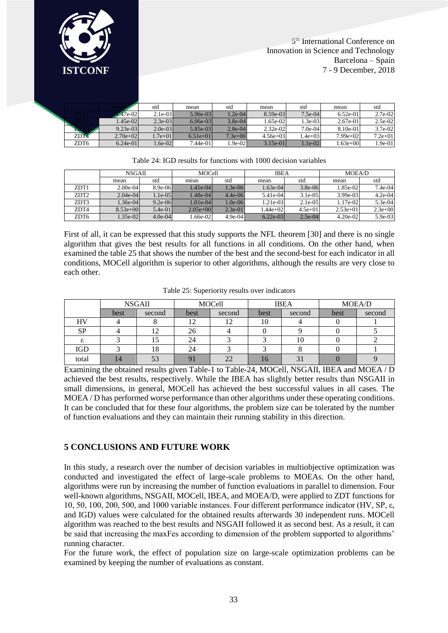

|      |            | std       | mean       | std       | mean       | std        | mean         | std        |
|------|------------|-----------|------------|-----------|------------|------------|--------------|------------|
|      | $.47e-02$  | $2.1e-03$ | $5.96e-03$ | $1.2e-04$ | $8.59e-03$ | $7.5e-04$  | $6.52e-01$   | $2.7e-0.2$ |
|      | $1.45e-02$ | $2.3e-03$ | $6.06e-03$ | $3.8e-04$ | 1.65e-02   | 1.3e-03    | $2.67e-01$   | $2.5e-02$  |
| Z.   | $9.23e-03$ | $2.0e-03$ | $5.85e-03$ | $2.8e-04$ | $2.32e-02$ | $7.0e-041$ | 8.10e-01     | $3.7e-02$  |
| ZDT4 | $2.70e+02$ | 1.7e+01   | $6.51e+01$ | $7.3e+00$ | $4.56e+03$ | $.4e+03$   | $7.99e+02$   | $7.2e+01$  |
| ZDT6 | $6.24e-01$ | $.6e-02$  | $7.44e-01$ | 1.9e-021  | $3.15e-01$ | $1.1e-02$  | $1.63e + 00$ | 1.9e-01    |

|                  | <b>NSGAIL</b> |             | <b>MOCell</b> |           | <b>IBEA</b> |            | <b>MOEA/D</b> |           |
|------------------|---------------|-------------|---------------|-----------|-------------|------------|---------------|-----------|
|                  | mean          | std         | mean          | std       | mean        | std        | mean          | std       |
| ZDT1             | $2.00e-04$    | $8.9e - 06$ | $1.41e-04$    | $1.3e-06$ | $1.63e-04$  | $3.8e-06$  | $1.85e-02$    | 7.4e-04   |
| ZDT <sub>2</sub> | $2.04e-04$    | $1.1e-0.5$  | $1.48e-04$    | $4.4e-06$ | 5.41e-04    | $3.1e-0.5$ | $3.99e-03$    | $4.2e-04$ |
| ZDT3             | $1.36e-04$    | $9.2e-06$   | $1.01e-04$    | $1.0e-06$ | $1.21e-03$  | $2.1e-0.5$ | 1.17e-02      | $5.3e-04$ |
| ZDT4             | $8.53e+00$    | $5.4e-01$   | $2.05e+00$    | $2.3e-01$ | $1.44e+02$  | $4.5e+01$  | $2.53e+01$    | $2.3e+00$ |
| ZDT6             | $1.35e-02$    | $4.0e-04$   | 1.66e-02      | $4.9e-04$ | $6.22e-03$  | $2.5e-04$  | $4.20e-02$    | $5.9e-03$ |

Table 24: IGD results for functions with 1000 decision variables

First of all, it can be expressed that this study supports the NFL theorem [30] and there is no single algorithm that gives the best results for all functions in all conditions. On the other hand, when examined the table 25 that shows the number of the best and the second-best for each indicator in all conditions, MOCell algorithm is superior to other algorithms, although the results are very close to each other.

Table 25: Superiority results over indicators

|            | <b>NSGAII</b> |        | MOCell   |        | <b>IBEA</b> |        | <b>MOEA/D</b> |        |
|------------|---------------|--------|----------|--------|-------------|--------|---------------|--------|
|            | best          | second | best     | second | best        | second | best          | second |
| HV         |               |        |          |        | 10          |        |               |        |
| SP         |               |        | 26       |        |             |        |               |        |
| ε          |               |        | 24       |        |             | 10     |               |        |
| <b>IGD</b> |               | 18     | 24       |        |             |        |               |        |
| total      | 14            | 53     | $\Omega$ | 22     | I 6         |        |               |        |

Examining the obtained results given Table-1 to Table-24, MOCell, NSGAII, IBEA and MOEA / D achieved the best results, respectively. While the IBEA has slightly better results than NSGAII in small dimensions, in general, MOCell has achieved the best successful values in all cases. The MOEA / D has performed worse performance than other algorithms under these operating conditions. It can be concluded that for these four algorithms, the problem size can be tolerated by the number of function evaluations and they can maintain their running stability in this direction.

# **5 CONCLUSIONS AND FUTURE WORK**

In this study, a research over the number of decision variables in multiobjective optimization was conducted and investigated the effect of large-scale problems to MOEAs. On the other hand, algorithms were run by increasing the number of function evaluations in parallel to dimension. Four well-known algorithms, NSGAII, MOCell, IBEA, and MOEA/D, were applied to ZDT functions for 10, 50, 100, 200, 500, and 1000 variable instances. Four different performance indicator (HV, SP, ε, and IGD) values were calculated for the obtained results afterwards 30 independent runs. MOCell algorithm was reached to the best results and NSGAII followed it as second best. As a result, it can be said that increasing the maxFes according to dimension of the problem supported to algorithms' running character.

For the future work, the effect of population size on large-scale optimization problems can be examined by keeping the number of evaluations as constant.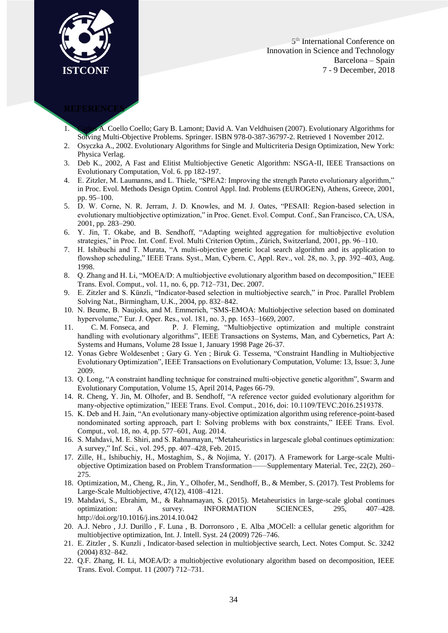

- **REFERENCES**
- 1. Carlos A. Coello Coello; Gary B. Lamont; David A. Van Veldhuisen (2007). Evolutionary Algorithms for Solving Multi-Objective Problems. Springer. ISBN 978-0-387-36797-2. Retrieved 1 November 2012.
- 2. Osyczka A., 2002. Evolutionary Algorithms for Single and Multicriteria Design Optimization, New York: Physica Verlag.
- 3. Deb K., 2002, A Fast and Elitist Multiobjective Genetic Algorithm: NSGA-II, IEEE Transactions on Evolutionary Computation, Vol. 6. pp 182-197.
- 4. E. Zitzler, M. Laumanns, and L. Thiele, "SPEA2: Improving the strength Pareto evolutionary algorithm," in Proc. Evol. Methods Design Optim. Control Appl. Ind. Problems (EUROGEN), Athens, Greece, 2001, pp. 95–100.
- 5. D. W. Corne, N. R. Jerram, J. D. Knowles, and M. J. Oates, "PESAII: Region-based selection in evolutionary multiobjective optimization," in Proc. Genet. Evol. Comput. Conf., San Francisco, CA, USA, 2001, pp. 283–290.
- 6. Y. Jin, T. Okabe, and B. Sendhoff, "Adapting weighted aggregation for multiobjective evolution strategies," in Proc. Int. Conf. Evol. Multi Criterion Optim., Zürich, Switzerland, 2001, pp. 96–110.
- 7. H. Ishibuchi and T. Murata, "A multi-objective genetic local search algorithm and its application to flowshop scheduling," IEEE Trans. Syst., Man, Cybern. C, Appl. Rev., vol. 28, no. 3, pp. 392–403, Aug. 1998.
- 8. Q. Zhang and H. Li, "MOEA/D: A multiobjective evolutionary algorithm based on decomposition," IEEE Trans. Evol. Comput., vol. 11, no. 6, pp. 712–731, Dec. 2007.
- 9. E. Zitzler and S. Künzli, "Indicator-based selection in multiobjective search," in Proc. Parallel Problem Solving Nat., Birmingham, U.K., 2004, pp. 832–842.
- 10. N. Beume, B. Naujoks, and M. Emmerich, "SMS-EMOA: Multiobjective selection based on dominated hypervolume," Eur. J. Oper. Res., vol. 181, no. 3, pp. 1653–1669, 2007.
- 11. C. M. Fonseca, and P. J. Fleming, "Multiobjective optimization and multiple constraint handling with evolutionary algorithms", IEEE Transactions on Systems, Man, and Cybernetics, Part A: Systems and Humans, Volume 28 Issue 1, January 1998 Page 26-37.
- 12. Yonas Gebre Woldesenbet ; Gary G. Yen ; Biruk G. Tessema, "Constraint Handling in Multiobjective Evolutionary Optimization", IEEE Transactions on Evolutionary Computation, Volume: 13, Issue: 3, June 2009.
- 13. Q. Long, "A constraint handling technique for constrained multi-objective genetic algorithm", Swarm and Evolutionary Computation, Volume 15, April 2014, Pages 66-79.
- 14. R. Cheng, Y. Jin, M. Olhofer, and B. Sendhoff, "A reference vector guided evolutionary algorithm for many-objective optimization," IEEE Trans. Evol. Comput., 2016, doi: 10.1109/TEVC.2016.2519378.
- 15. K. Deb and H. Jain, "An evolutionary many-objective optimization algorithm using reference-point-based nondominated sorting approach, part I: Solving problems with box constraints," IEEE Trans. Evol. Comput., vol. 18, no. 4, pp. 577–601, Aug. 2014.
- 16. S. Mahdavi, M. E. Shiri, and S. Rahnamayan, "Metaheuristics in largescale global continues optimization: A survey," Inf. Sci., vol. 295, pp. 407–428, Feb. 2015.
- 17. Zille, H., Ishibuchiy, H., Mostaghim, S., & Nojima, Y. (2017). A Framework for Large-scale Multiobjective Optimization based on Problem Transformation——Supplementary Material. Tec, 22(2), 260– 275.
- 18. Optimization, M., Cheng, R., Jin, Y., Olhofer, M., Sendhoff, B., & Member, S. (2017). Test Problems for Large-Scale Multiobjective, 47(12), 4108–4121.
- 19. Mahdavi, S., Ebrahim, M., & Rahnamayan, S. (2015). Metaheuristics in large-scale global continues optimization: A survey. INFORMATION SCIENCES, 295, 407–428. http://doi.org/10.1016/j.ins.2014.10.042
- 20. A.J. Nebro , J.J. Durillo , F. Luna , B. Dorronsoro , E. Alba ,MOCell: a cellular genetic algorithm for multiobjective optimization, Int. J. Intell. Syst. 24 (2009) 726–746.
- 21. E. Zitzler , S. Kunzli , Indicator-based selection in multiobjective search, Lect. Notes Comput. Sc. 3242 (2004) 832–842.
- 22. Q.F. Zhang, H. Li, MOEA/D: a multiobjective evolutionary algorithm based on decomposition, IEEE Trans. Evol. Comput. 11 (2007) 712–731.